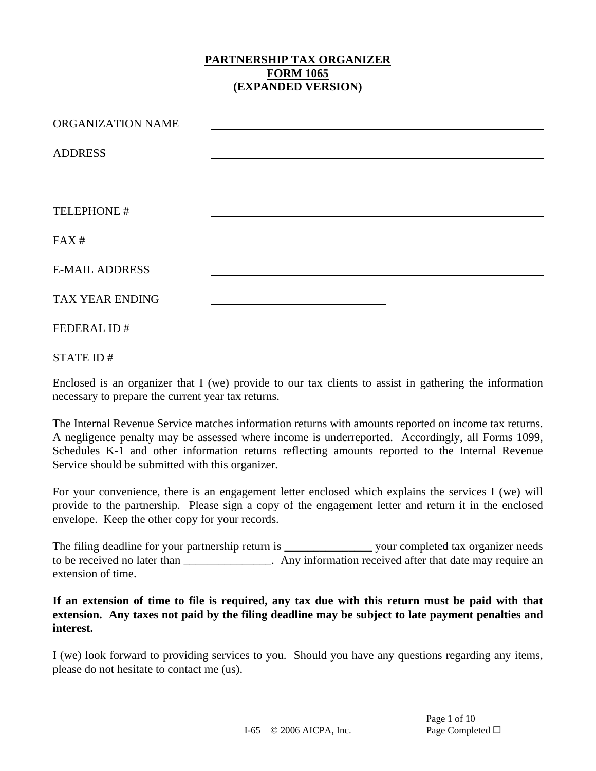| ORGANIZATION NAME     |  |
|-----------------------|--|
| <b>ADDRESS</b>        |  |
|                       |  |
| TELEPHONE #           |  |
|                       |  |
| FAX#                  |  |
| <b>E-MAIL ADDRESS</b> |  |
| TAX YEAR ENDING       |  |
| FEDERAL ID#           |  |
| STATE ID#             |  |

Enclosed is an organizer that I (we) provide to our tax clients to assist in gathering the information necessary to prepare the current year tax returns.

The Internal Revenue Service matches information returns with amounts reported on income tax returns. A negligence penalty may be assessed where income is underreported. Accordingly, all Forms 1099, Schedules K-1 and other information returns reflecting amounts reported to the Internal Revenue Service should be submitted with this organizer.

For your convenience, there is an engagement letter enclosed which explains the services I (we) will provide to the partnership. Please sign a copy of the engagement letter and return it in the enclosed envelope. Keep the other copy for your records.

The filing deadline for your partnership return is \_\_\_\_\_\_\_\_\_\_\_\_\_\_\_\_\_\_\_\_\_\_\_ your completed tax organizer needs to be received no later than \_\_\_\_\_\_\_\_\_\_\_\_\_\_. Any information received after that date may require an extension of time.

**If an extension of time to file is required, any tax due with this return must be paid with that extension. Any taxes not paid by the filing deadline may be subject to late payment penalties and interest.** 

I (we) look forward to providing services to you. Should you have any questions regarding any items, please do not hesitate to contact me (us).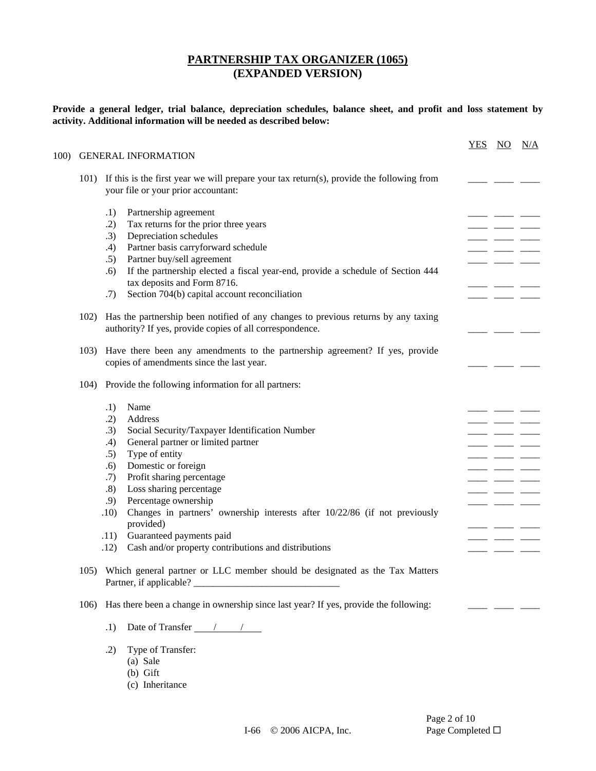**Provide a general ledger, trial balance, depreciation schedules, balance sheet, and profit and loss statement by activity. Additional information will be needed as described below:** 

|      | <b>GENERAL INFORMATION</b>                                                                                            | <b>YES</b> | NO. | N/A |
|------|-----------------------------------------------------------------------------------------------------------------------|------------|-----|-----|
| 101) | If this is the first year we will prepare your tax return(s), provide the following from                              |            |     |     |
|      | your file or your prior accountant:                                                                                   |            |     |     |
|      | Partnership agreement<br>.1)                                                                                          |            |     |     |
|      | Tax returns for the prior three years<br>.2)                                                                          |            |     |     |
|      | Depreciation schedules<br>.3)                                                                                         |            |     |     |
|      | Partner basis carryforward schedule<br>.4)                                                                            |            |     |     |
|      | Partner buy/sell agreement<br>.5)                                                                                     |            |     |     |
|      | If the partnership elected a fiscal year-end, provide a schedule of Section 444<br>.6)<br>tax deposits and Form 8716. |            |     |     |
|      | Section 704(b) capital account reconciliation<br>.7)                                                                  |            |     |     |
| 102) | Has the partnership been notified of any changes to previous returns by any taxing                                    |            |     |     |
|      | authority? If yes, provide copies of all correspondence.                                                              |            |     |     |
| 103) | Have there been any amendments to the partnership agreement? If yes, provide                                          |            |     |     |
|      | copies of amendments since the last year.                                                                             |            |     |     |
| 104) | Provide the following information for all partners:                                                                   |            |     |     |
|      | Name<br>.1)                                                                                                           |            |     |     |
|      | .2)<br>Address                                                                                                        |            |     |     |
|      | Social Security/Taxpayer Identification Number<br>.3)                                                                 |            |     |     |
|      | General partner or limited partner<br>.4)                                                                             |            |     |     |
|      | Type of entity<br>.5)                                                                                                 |            |     |     |
|      | Domestic or foreign<br>.6)                                                                                            |            |     |     |
|      | Profit sharing percentage<br>.7)<br>Loss sharing percentage<br>.8)                                                    |            |     |     |
|      | Percentage ownership<br>.9)                                                                                           |            |     |     |
|      | Changes in partners' ownership interests after 10/22/86 (if not previously<br>.10)                                    |            |     |     |
|      | provided)                                                                                                             |            |     |     |
|      | Guaranteed payments paid<br>.11)                                                                                      |            |     |     |
|      | Cash and/or property contributions and distributions<br>.12)                                                          |            |     |     |
|      | 105) Which general partner or LLC member should be designated as the Tax Matters                                      |            |     |     |
|      |                                                                                                                       |            |     |     |

- .1) Date of Transfer  $\frac{1}{\sqrt{1-\frac{1}{2}}}$
- .2) Type of Transfer:
	- (a) Sale
	- (b) Gift
	- (c) Inheritance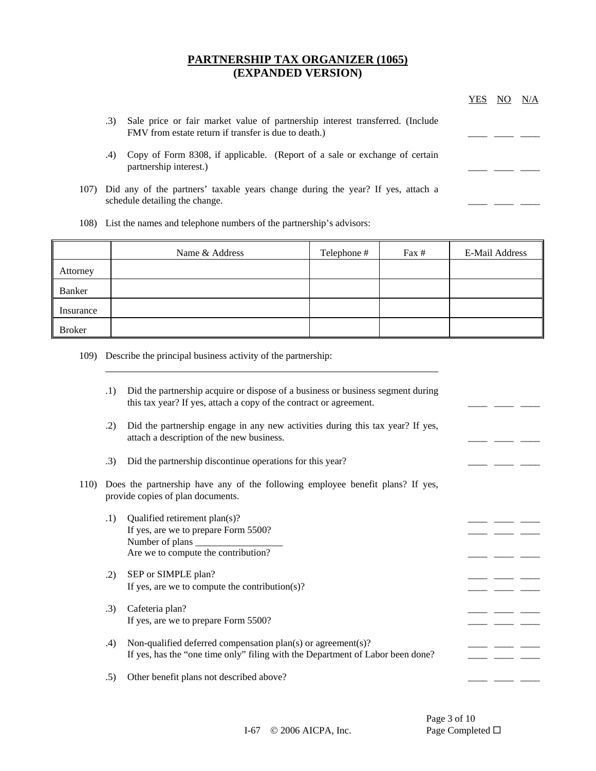|     |                                                                                                                                       | YES | N/A |
|-----|---------------------------------------------------------------------------------------------------------------------------------------|-----|-----|
| .3) | Sale price or fair market value of partnership interest transferred. (Include<br>FMV from estate return if transfer is due to death.) |     |     |
| .4) | Copy of Form 8308, if applicable. (Report of a sale or exchange of certain<br>partnership interest.)                                  |     |     |
|     | 107) Did any of the partners' taxable years change during the year? If yes, attach a<br>schedule detailing the change.                |     |     |

108) List the names and telephone numbers of the partnership's advisors:

|               | Name & Address | Telephone # | Fax $#$ | E-Mail Address |
|---------------|----------------|-------------|---------|----------------|
| Attorney      |                |             |         |                |
| Banker        |                |             |         |                |
| Insurance     |                |             |         |                |
| <b>Broker</b> |                |             |         |                |

109) Describe the principal business activity of the partnership:

|      | .1) | Did the partnership acquire or dispose of a business or business segment during<br>this tax year? If yes, attach a copy of the contract or agreement. |  |  |
|------|-----|-------------------------------------------------------------------------------------------------------------------------------------------------------|--|--|
|      | .2) | Did the partnership engage in any new activities during this tax year? If yes,<br>attach a description of the new business.                           |  |  |
|      | .3) | Did the partnership discontinue operations for this year?                                                                                             |  |  |
| 110) |     | Does the partnership have any of the following employee benefit plans? If yes,<br>provide copies of plan documents.                                   |  |  |
|      | .1) | Qualified retirement plan(s)?<br>If yes, are we to prepare Form 5500?<br>Are we to compute the contribution?                                          |  |  |
|      | .2) | SEP or SIMPLE plan?<br>If yes, are we to compute the contribution(s)?                                                                                 |  |  |
|      | .3) | Cafeteria plan?<br>If yes, are we to prepare Form 5500?                                                                                               |  |  |
|      | .4) | Non-qualified deferred compensation plan(s) or agreement(s)?<br>If yes, has the "one time only" filing with the Department of Labor been done?        |  |  |
|      | .5) | Other benefit plans not described above?                                                                                                              |  |  |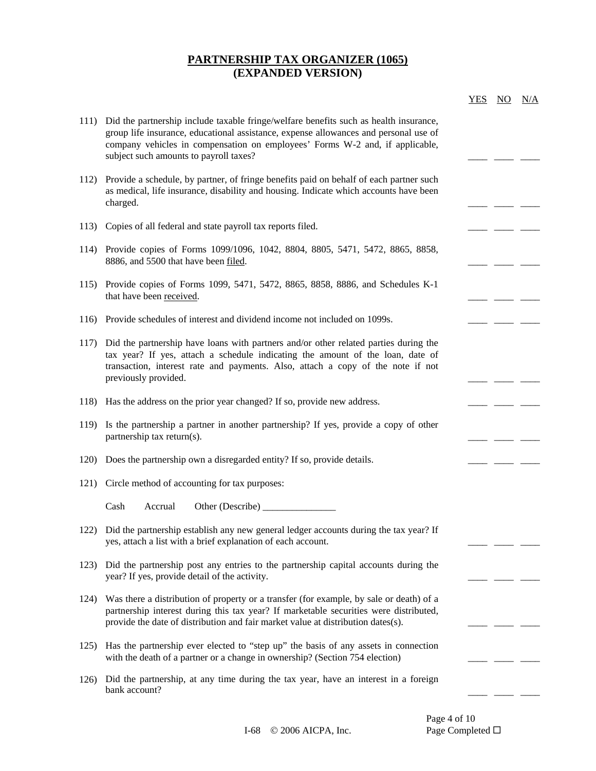|      |                                                                                                                                                                                                                                                                                                         | YES | NO. | N/A |
|------|---------------------------------------------------------------------------------------------------------------------------------------------------------------------------------------------------------------------------------------------------------------------------------------------------------|-----|-----|-----|
| 111) | Did the partnership include taxable fringe/welfare benefits such as health insurance,<br>group life insurance, educational assistance, expense allowances and personal use of<br>company vehicles in compensation on employees' Forms W-2 and, if applicable,<br>subject such amounts to payroll taxes? |     |     |     |
| 112) | Provide a schedule, by partner, of fringe benefits paid on behalf of each partner such<br>as medical, life insurance, disability and housing. Indicate which accounts have been<br>charged.                                                                                                             |     |     |     |
| 113) | Copies of all federal and state payroll tax reports filed.                                                                                                                                                                                                                                              |     |     |     |
| 114) | Provide copies of Forms 1099/1096, 1042, 8804, 8805, 5471, 5472, 8865, 8858,<br>8886, and 5500 that have been filed.                                                                                                                                                                                    |     |     |     |
| 115) | Provide copies of Forms 1099, 5471, 5472, 8865, 8858, 8886, and Schedules K-1<br>that have been received.                                                                                                                                                                                               |     |     |     |
| 116) | Provide schedules of interest and dividend income not included on 1099s.                                                                                                                                                                                                                                |     |     |     |
| 117) | Did the partnership have loans with partners and/or other related parties during the<br>tax year? If yes, attach a schedule indicating the amount of the loan, date of<br>transaction, interest rate and payments. Also, attach a copy of the note if not<br>previously provided.                       |     |     |     |
| 118) | Has the address on the prior year changed? If so, provide new address.                                                                                                                                                                                                                                  |     |     |     |
| 119) | Is the partnership a partner in another partnership? If yes, provide a copy of other<br>partnership tax return(s).                                                                                                                                                                                      |     |     |     |
| 120) | Does the partnership own a disregarded entity? If so, provide details.                                                                                                                                                                                                                                  |     |     |     |
| 121) | Circle method of accounting for tax purposes:                                                                                                                                                                                                                                                           |     |     |     |
|      | Cash<br>Other (Describe)<br>Accrual                                                                                                                                                                                                                                                                     |     |     |     |
| 122) | Did the partnership establish any new general ledger accounts during the tax year? If<br>yes, attach a list with a brief explanation of each account.                                                                                                                                                   |     |     |     |
| 123) | Did the partnership post any entries to the partnership capital accounts during the<br>year? If yes, provide detail of the activity.                                                                                                                                                                    |     |     |     |
| 124) | Was there a distribution of property or a transfer (for example, by sale or death) of a<br>partnership interest during this tax year? If marketable securities were distributed,<br>provide the date of distribution and fair market value at distribution dates(s).                                    |     |     |     |
| 125) | Has the partnership ever elected to "step up" the basis of any assets in connection<br>with the death of a partner or a change in ownership? (Section 754 election)                                                                                                                                     |     |     |     |
| 126) | Did the partnership, at any time during the tax year, have an interest in a foreign<br>bank account?                                                                                                                                                                                                    |     |     |     |

Page 4 of 10<br>Page Completed  $\Box$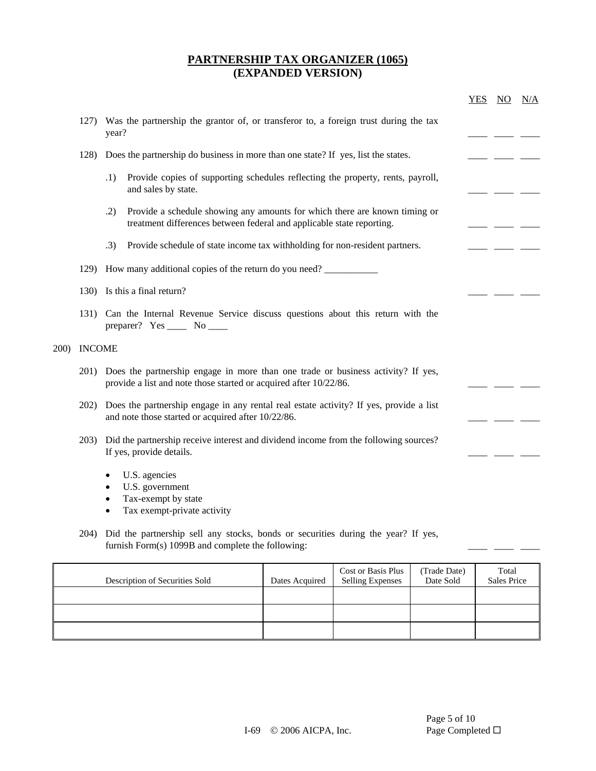|              |               |                                                                                                                                                            | <u>YES NO</u> | N/A |
|--------------|---------------|------------------------------------------------------------------------------------------------------------------------------------------------------------|---------------|-----|
|              | 127)          | Was the partnership the grantor of, or transferor to, a foreign trust during the tax<br>year?                                                              |               |     |
|              | 128)          | Does the partnership do business in more than one state? If yes, list the states.                                                                          |               |     |
|              |               | Provide copies of supporting schedules reflecting the property, rents, payroll,<br>.1)<br>and sales by state.                                              |               |     |
|              |               | Provide a schedule showing any amounts for which there are known timing or<br>.2)<br>treatment differences between federal and applicable state reporting. |               |     |
|              |               | .3)<br>Provide schedule of state income tax withholding for non-resident partners.                                                                         |               |     |
|              | 129)          | How many additional copies of the return do you need?                                                                                                      |               |     |
|              |               | 130) Is this a final return?                                                                                                                               |               |     |
|              |               | 131) Can the Internal Revenue Service discuss questions about this return with the<br>preparer? Yes ______ No _____                                        |               |     |
| <b>200</b> ) | <b>INCOME</b> |                                                                                                                                                            |               |     |
|              | 201)          | Does the partnership engage in more than one trade or business activity? If yes,<br>provide a list and note those started or acquired after 10/22/86.      |               |     |
|              | 202)          | Does the partnership engage in any rental real estate activity? If yes, provide a list<br>and note those started or acquired after 10/22/86.               |               |     |
|              | 203)          | Did the partnership receive interest and dividend income from the following sources?<br>If yes, provide details.                                           |               |     |
|              |               | U.S. agencies<br>$\bullet$<br>U.S. government<br>$\bullet$<br>Tax-exempt by state<br>$\bullet$<br>Tax exempt-private activity<br>$\bullet$                 |               |     |
|              | 204)          | Did the partnership sell any stocks, bonds or securities during the year? If yes,<br>furnish Form(s) 1099B and complete the following:                     |               |     |

| Description of Securities Sold | Dates Acquired | <b>Cost or Basis Plus</b><br><b>Selling Expenses</b> | (Trade Date)<br>Date Sold | Total<br><b>Sales Price</b> |
|--------------------------------|----------------|------------------------------------------------------|---------------------------|-----------------------------|
|                                |                |                                                      |                           |                             |
|                                |                |                                                      |                           |                             |
|                                |                |                                                      |                           |                             |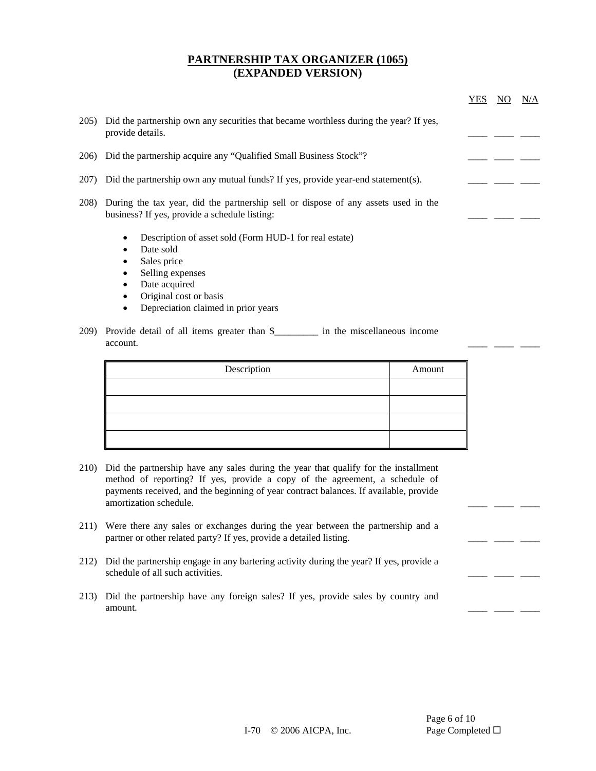|              |                                                                                                                                                                                  | YES | N/A |
|--------------|----------------------------------------------------------------------------------------------------------------------------------------------------------------------------------|-----|-----|
| 205)         | Did the partnership own any securities that became worthless during the year? If yes,<br>provide details.                                                                        |     |     |
| 206)         | Did the partnership acquire any "Qualified Small Business Stock"?                                                                                                                |     |     |
| <b>207</b> ) | Did the partnership own any mutual funds? If yes, provide year-end statement(s).                                                                                                 |     |     |
| 208)         | During the tax year, did the partnership sell or dispose of any assets used in the<br>business? If yes, provide a schedule listing:                                              |     |     |
|              | Description of asset sold (Form HUD-1 for real estate)<br>$\bullet$<br>Date sold<br>$\bullet$<br>Sales price<br>٠<br>Selling expenses<br>Date acquired<br>Original cost or basis |     |     |

- Depreciation claimed in prior years
- 209) Provide detail of all items greater than \$\_\_\_\_\_\_\_\_\_ in the miscellaneous income account.

| Description | Amount |
|-------------|--------|
|             |        |
|             |        |
|             |        |
|             |        |

- 210) Did the partnership have any sales during the year that qualify for the installment method of reporting? If yes, provide a copy of the agreement, a schedule of payments received, and the beginning of year contract balances. If available, provide amortization schedule.  $\qquad \qquad \qquad \qquad$
- 211) Were there any sales or exchanges during the year between the partnership and a partner or other related party? If yes, provide a detailed listing.
- 212) Did the partnership engage in any bartering activity during the year? If yes, provide a schedule of all such activities.
- 213) Did the partnership have any foreign sales? If yes, provide sales by country and amount.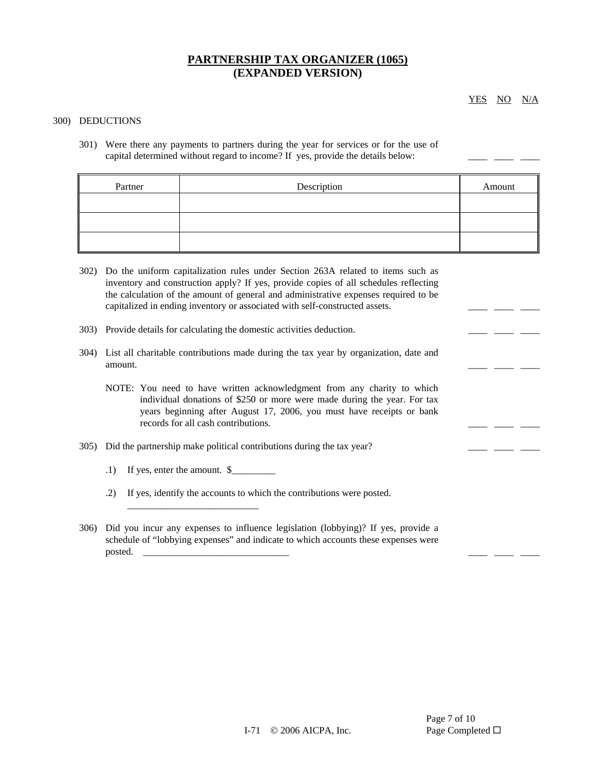YES NO N/A

#### 300) DEDUCTIONS

301) Were there any payments to partners during the year for services or for the use of capital determined without regard to income? If yes, provide the details below:

| Partner | Description | Amount |
|---------|-------------|--------|
|         |             |        |
|         |             |        |
|         |             |        |

- 302) Do the uniform capitalization rules under Section 263A related to items such as inventory and construction apply? If yes, provide copies of all schedules reflecting the calculation of the amount of general and administrative expenses required to be capitalized in ending inventory or associated with self-constructed assets.  $\qquad \qquad \qquad \qquad \qquad \qquad \qquad$
- $303$ ) Provide details for calculating the domestic activities deduction.  $\frac{1}{\sqrt{2}}$
- 304) List all charitable contributions made during the tax year by organization, date and amount.
	- NOTE: You need to have written acknowledgment from any charity to which individual donations of \$250 or more were made during the year. For tax years beginning after August 17, 2006, you must have receipts or bank records for all cash contributions.
- $305)$  Did the partnership make political contributions during the tax year? \_\_\_\_\_\_ \_\_\_ \_\_\_ \_\_\_ \_\_
	- $.1)$  If yes, enter the amount.  $\frac{1}{2}$

\_\_\_\_\_\_\_\_\_\_\_\_\_\_\_\_\_\_\_\_\_\_\_\_\_\_\_

- .2) If yes, identify the accounts to which the contributions were posted.
- 306) Did you incur any expenses to influence legislation (lobbying)? If yes, provide a schedule of "lobbying expenses" and indicate to which accounts these expenses were posted.  $\Box$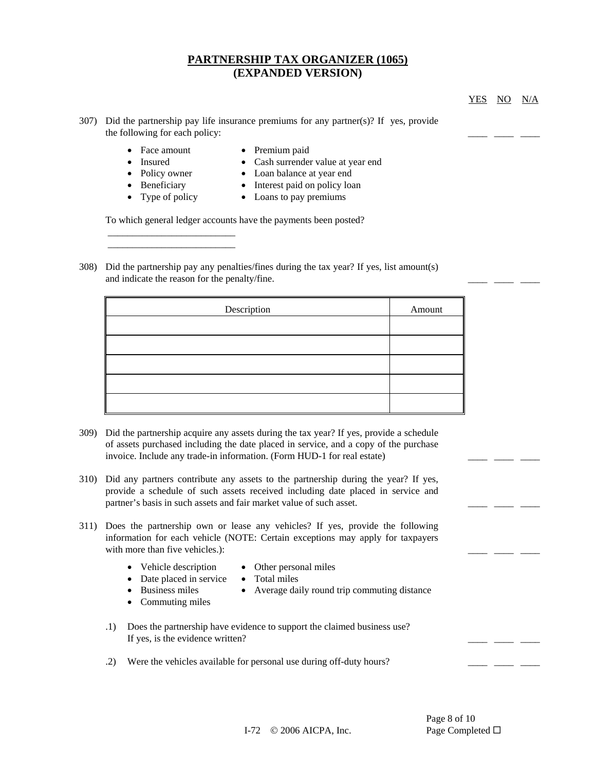YES NO N/A

- 307) Did the partnership pay life insurance premiums for any partner(s)? If yes, provide the following for each policy:
	- Face amount Premium paid

\_\_\_\_\_\_\_\_\_\_\_\_\_\_\_\_\_\_\_\_\_\_\_\_\_\_ \_\_\_\_\_\_\_\_\_\_\_\_\_\_\_\_\_\_\_\_\_\_\_\_\_\_

- 
- Insured Cash surrender value at year end
- Policy owner Loan balance at year end
- Beneficiary Interest paid on policy loan
- Type of policy Loans to pay premiums

To which general ledger accounts have the payments been posted?

308) Did the partnership pay any penalties/fines during the tax year? If yes, list amount(s) and indicate the reason for the penalty/fine.

| Description | Amount |
|-------------|--------|
|             |        |
|             |        |
|             |        |
|             |        |
|             |        |

- 309) Did the partnership acquire any assets during the tax year? If yes, provide a schedule of assets purchased including the date placed in service, and a copy of the purchase invoice. Include any trade-in information. (Form HUD-1 for real estate)
- 310) Did any partners contribute any assets to the partnership during the year? If yes, provide a schedule of such assets received including date placed in service and partner's basis in such assets and fair market value of such asset.
- 311) Does the partnership own or lease any vehicles? If yes, provide the following information for each vehicle (NOTE: Certain exceptions may apply for taxpayers with more than five vehicles.):
	- Vehicle description Other personal miles
		-
	- Date placed in service Total miles
		-
	- Business miles Average daily round trip commuting distance
	- Commuting miles
- 
- .1) Does the partnership have evidence to support the claimed business use? If yes, is the evidence written?
- .2) Were the vehicles available for personal use during off-duty hours?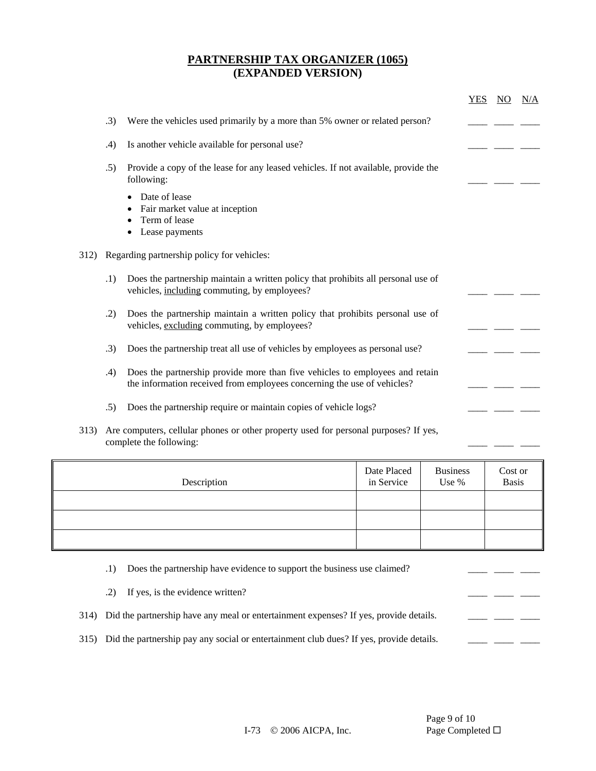|      |     |                                                                                                                                                                                                                                                                                                                                    | <b>YES</b> | NO. | N/A |
|------|-----|------------------------------------------------------------------------------------------------------------------------------------------------------------------------------------------------------------------------------------------------------------------------------------------------------------------------------------|------------|-----|-----|
|      | .3) | Were the vehicles used primarily by a more than 5% owner or related person?                                                                                                                                                                                                                                                        |            |     |     |
|      | .4) | Is another vehicle available for personal use?                                                                                                                                                                                                                                                                                     |            |     |     |
|      | .5) | Provide a copy of the lease for any leased vehicles. If not available, provide the<br>following:                                                                                                                                                                                                                                   |            |     |     |
|      |     | Date of lease<br>Fair market value at inception<br>Term of lease<br>Lease payments                                                                                                                                                                                                                                                 |            |     |     |
| 312) |     | Regarding partnership policy for vehicles:                                                                                                                                                                                                                                                                                         |            |     |     |
|      | .1) | Does the partnership maintain a written policy that prohibits all personal use of<br>vehicles, including commuting, by employees?                                                                                                                                                                                                  |            |     |     |
|      | .2) | Does the partnership maintain a written policy that prohibits personal use of<br>vehicles, excluding commuting, by employees?                                                                                                                                                                                                      |            |     |     |
|      | .3) | Does the partnership treat all use of vehicles by employees as personal use?                                                                                                                                                                                                                                                       |            |     |     |
|      | .4) | Does the partnership provide more than five vehicles to employees and retain<br>the information received from employees concerning the use of vehicles?                                                                                                                                                                            |            |     |     |
|      | .5) | Does the partnership require or maintain copies of vehicle logs?                                                                                                                                                                                                                                                                   |            |     |     |
|      |     | $\mathbf{11}$ $\mathbf{1}$ $\mathbf{1}$ $\mathbf{1}$ $\mathbf{1}$ $\mathbf{1}$ $\mathbf{1}$ $\mathbf{1}$ $\mathbf{1}$ $\mathbf{1}$ $\mathbf{1}$ $\mathbf{1}$ $\mathbf{1}$ $\mathbf{1}$ $\mathbf{1}$ $\mathbf{1}$ $\mathbf{1}$ $\mathbf{1}$ $\mathbf{1}$ $\mathbf{1}$ $\mathbf{1}$ $\mathbf{1}$ $\mathbf{1}$ $\mathbf{1}$ $\mathbf$ |            |     |     |

313) Are computers, cellular phones or other property used for personal purposes? If yes, complete the following: \_\_\_\_ \_\_\_\_ \_\_\_\_

| Description | Date Placed<br>in Service | <b>Business</b><br>Use % | Cost or<br>Basis |
|-------------|---------------------------|--------------------------|------------------|
|             |                           |                          |                  |
|             |                           |                          |                  |
|             |                           |                          |                  |

|  | (1) Does the partnership have evidence to support the business use claimed? |  |  |  |
|--|-----------------------------------------------------------------------------|--|--|--|
|--|-----------------------------------------------------------------------------|--|--|--|

|  | .2) If yes, is the evidence written?                                                       |  |  |
|--|--------------------------------------------------------------------------------------------|--|--|
|  | 314) Did the partnership have any meal or entertainment expenses? If yes, provide details. |  |  |

315) Did the partnership pay any social or entertainment club dues? If yes, provide details.